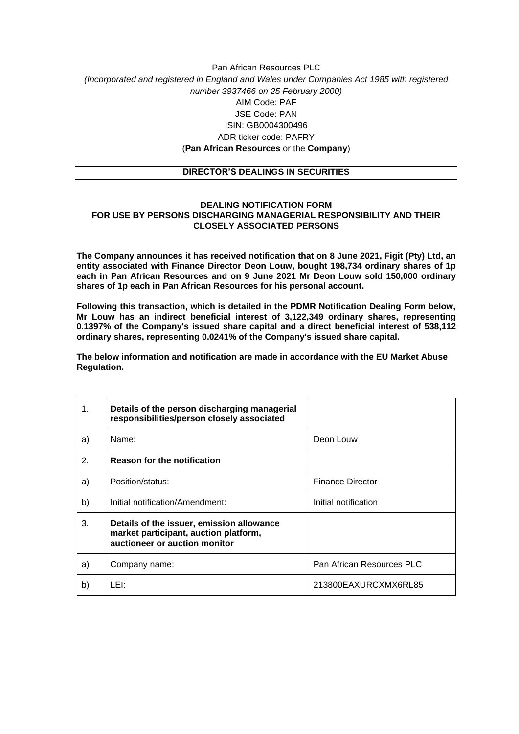## Pan African Resources PLC *(Incorporated and registered in England and Wales under Companies Act 1985 with registered number 3937466 on 25 February 2000)* AIM Code: PAF JSE Code: PAN ISIN: GB0004300496 ADR ticker code: PAFRY (**Pan African Resources** or the **Company**)

## **DIRECTOR'S DEALINGS IN SECURITIES**

## **DEALING NOTIFICATION FORM FOR USE BY PERSONS DISCHARGING MANAGERIAL RESPONSIBILITY AND THEIR CLOSELY ASSOCIATED PERSONS**

**The Company announces it has received notification that on 8 June 2021, Figit (Pty) Ltd, an entity associated with Finance Director Deon Louw, bought 198,734 ordinary shares of 1p each in Pan African Resources and on 9 June 2021 Mr Deon Louw sold 150,000 ordinary shares of 1p each in Pan African Resources for his personal account.**

**Following this transaction, which is detailed in the PDMR Notification Dealing Form below, Mr Louw has an indirect beneficial interest of 3,122,349 ordinary shares, representing 0.1397% of the Company's issued share capital and a direct beneficial interest of 538,112 ordinary shares, representing 0.0241% of the Company's issued share capital.**

**The below information and notification are made in accordance with the EU Market Abuse Regulation.**

| 1. | Details of the person discharging managerial<br>responsibilities/person closely associated                          |                           |
|----|---------------------------------------------------------------------------------------------------------------------|---------------------------|
| a) | Name:                                                                                                               | Deon Louw                 |
| 2. | <b>Reason for the notification</b>                                                                                  |                           |
| a) | Position/status:                                                                                                    | <b>Finance Director</b>   |
| b) | Initial notification/Amendment:                                                                                     | Initial notification      |
| 3. | Details of the issuer, emission allowance<br>market participant, auction platform,<br>auctioneer or auction monitor |                           |
| a) | Company name:                                                                                                       | Pan African Resources PLC |
| b) | LEI:                                                                                                                | 213800EAXURCXMX6RL85      |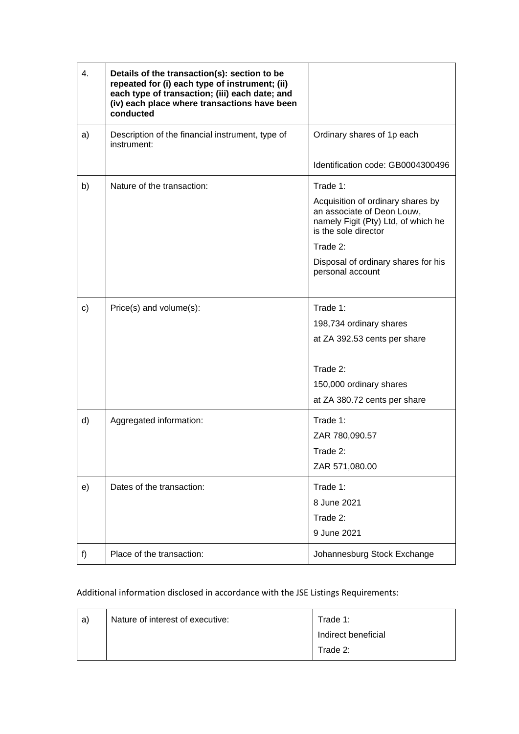| 4. | Details of the transaction(s): section to be<br>repeated for (i) each type of instrument; (ii)<br>each type of transaction; (iii) each date; and<br>(iv) each place where transactions have been<br>conducted |                                                                                                                                |
|----|---------------------------------------------------------------------------------------------------------------------------------------------------------------------------------------------------------------|--------------------------------------------------------------------------------------------------------------------------------|
| a) | Description of the financial instrument, type of<br>instrument:                                                                                                                                               | Ordinary shares of 1p each                                                                                                     |
|    |                                                                                                                                                                                                               | Identification code: GB0004300496                                                                                              |
| b) | Nature of the transaction:                                                                                                                                                                                    | Trade 1:                                                                                                                       |
|    |                                                                                                                                                                                                               | Acquisition of ordinary shares by<br>an associate of Deon Louw,<br>namely Figit (Pty) Ltd, of which he<br>is the sole director |
|    |                                                                                                                                                                                                               | Trade 2:                                                                                                                       |
|    |                                                                                                                                                                                                               | Disposal of ordinary shares for his<br>personal account                                                                        |
|    |                                                                                                                                                                                                               |                                                                                                                                |
| c) | Price(s) and volume(s):                                                                                                                                                                                       | Trade 1:                                                                                                                       |
|    |                                                                                                                                                                                                               | 198,734 ordinary shares                                                                                                        |
|    |                                                                                                                                                                                                               | at ZA 392.53 cents per share                                                                                                   |
|    |                                                                                                                                                                                                               | Trade 2:                                                                                                                       |
|    |                                                                                                                                                                                                               | 150,000 ordinary shares                                                                                                        |
|    |                                                                                                                                                                                                               | at ZA 380.72 cents per share                                                                                                   |
| d) | Aggregated information:                                                                                                                                                                                       | Trade 1:                                                                                                                       |
|    |                                                                                                                                                                                                               | ZAR 780,090.57                                                                                                                 |
|    |                                                                                                                                                                                                               | Trade 2:                                                                                                                       |
|    |                                                                                                                                                                                                               | ZAR 571,080.00                                                                                                                 |
| e) | Dates of the transaction:                                                                                                                                                                                     | Trade 1:                                                                                                                       |
|    |                                                                                                                                                                                                               | 8 June 2021                                                                                                                    |
|    |                                                                                                                                                                                                               | Trade 2:                                                                                                                       |
|    |                                                                                                                                                                                                               | 9 June 2021                                                                                                                    |
| f) | Place of the transaction:                                                                                                                                                                                     | Johannesburg Stock Exchange                                                                                                    |

Additional information disclosed in accordance with the JSE Listings Requirements:

| a) | Nature of interest of executive: | Trade 1:            |
|----|----------------------------------|---------------------|
|    |                                  | Indirect beneficial |
|    |                                  | Trade 2:            |